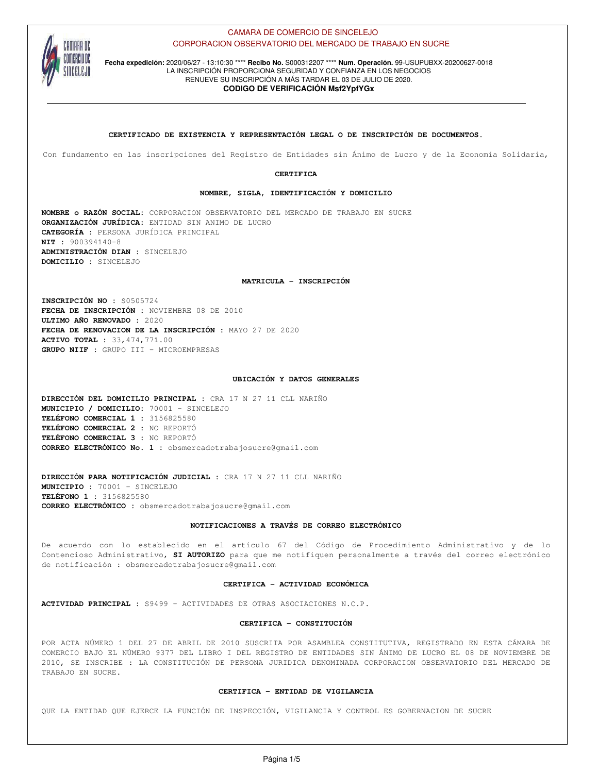

**Fecha expedición:** 2020/06/27 - 13:10:30 \*\*\*\* **Recibo No.** S000312207 \*\*\*\* **Num. Operación.** 99-USUPUBXX-20200627-0018 LA INSCRIPCIÓN PROPORCIONA SEGURIDAD Y CONFIANZA EN LOS NEGOCIOS RENUEVE SU INSCRIPCIÓN A MÁS TARDAR EL 03 DE JULIO DE 2020.

# **CODIGO DE VERIFICACIÓN Msf2YpfYGx**

**CERTIFICADO DE EXISTENCIA Y REPRESENTACIÓN LEGAL O DE INSCRIPCIÓN DE DOCUMENTOS.**

Con fundamento en las inscripciones del Registro de Entidades sin Ánimo de Lucro y de la Economía Solidaria,

**CERTIFICA**

**NOMBRE, SIGLA, IDENTIFICACIÓN Y DOMICILIO**

**NOMBRE o RAZÓN SOCIAL:** CORPORACION OBSERVATORIO DEL MERCADO DE TRABAJO EN SUCRE **ORGANIZACIÓN JURÍDICA:** ENTIDAD SIN ANIMO DE LUCRO **CATEGORÍA :** PERSONA JURÍDICA PRINCIPAL **NIT :** 900394140-8 **ADMINISTRACIÓN DIAN :** SINCELEJO **DOMICILIO :** SINCELEJO

**MATRICULA - INSCRIPCIÓN**

**INSCRIPCIÓN NO :** S0505724 **FECHA DE INSCRIPCIÓN :** NOVIEMBRE 08 DE 2010 **ULTIMO AÑO RENOVADO :** 2020 **FECHA DE RENOVACION DE LA INSCRIPCIÓN :** MAYO 27 DE 2020 **ACTIVO TOTAL :** 33,474,771.00 **GRUPO NIIF :** GRUPO III - MICROEMPRESAS

#### **UBICACIÓN Y DATOS GENERALES**

**DIRECCIÓN DEL DOMICILIO PRINCIPAL :** CRA 17 N 27 11 CLL NARIÑO **MUNICIPIO / DOMICILIO:** 70001 - SINCELEJO **TELÉFONO COMERCIAL 1 :** 3156825580 **TELÉFONO COMERCIAL 2 :** NO REPORTÓ **TELÉFONO COMERCIAL 3 :** NO REPORTÓ **CORREO ELECTRÓNICO No. 1 :** obsmercadotrabajosucre@gmail.com

**DIRECCIÓN PARA NOTIFICACIÓN JUDICIAL :** CRA 17 N 27 11 CLL NARIÑO **MUNICIPIO :** 70001 - SINCELEJO **TELÉFONO 1 :** 3156825580 **CORREO ELECTRÓNICO :** obsmercadotrabajosucre@gmail.com

# **NOTIFICACIONES A TRAVÉS DE CORREO ELECTRÓNICO**

De acuerdo con lo establecido en el artículo 67 del Código de Procedimiento Administrativo y de lo Contencioso Administrativo, **SI AUTORIZO** para que me notifiquen personalmente a través del correo electrónico de notificación : obsmercadotrabajosucre@gmail.com

# **CERTIFICA - ACTIVIDAD ECONÓMICA**

**ACTIVIDAD PRINCIPAL :** S9499 - ACTIVIDADES DE OTRAS ASOCIACIONES N.C.P.

## **CERTIFICA - CONSTITUCIÓN**

POR ACTA NÚMERO 1 DEL 27 DE ABRIL DE 2010 SUSCRITA POR ASAMBLEA CONSTITUTIVA, REGISTRADO EN ESTA CÁMARA DE COMERCIO BAJO EL NÚMERO 9377 DEL LIBRO I DEL REGISTRO DE ENTIDADES SIN ÁNIMO DE LUCRO EL 08 DE NOVIEMBRE DE 2010, SE INSCRIBE : LA CONSTITUCIÓN DE PERSONA JURIDICA DENOMINADA CORPORACION OBSERVATORIO DEL MERCADO DE TRABAJO EN SUCRE.

## **CERTIFICA - ENTIDAD DE VIGILANCIA**

QUE LA ENTIDAD QUE EJERCE LA FUNCIÓN DE INSPECCIÓN, VIGILANCIA Y CONTROL ES GOBERNACION DE SUCRE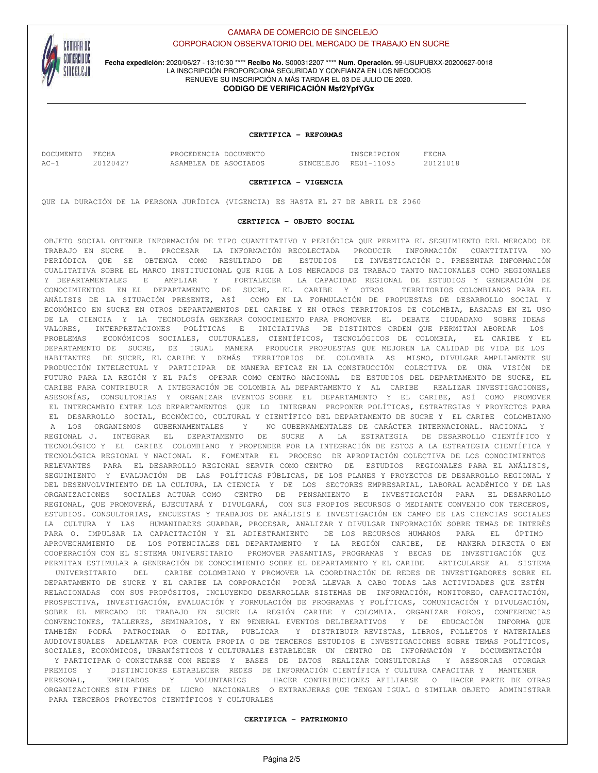

**Fecha expedición:** 2020/06/27 - 13:10:30 \*\*\*\* **Recibo No.** S000312207 \*\*\*\* **Num. Operación.** 99-USUPUBXX-20200627-0018 LA INSCRIPCIÓN PROPORCIONA SEGURIDAD Y CONFIANZA EN LOS NEGOCIOS RENUEVE SU INSCRIPCIÓN A MÁS TARDAR EL 03 DE JULIO DE 2020.

# **CODIGO DE VERIFICACIÓN Msf2YpfYGx**

## **CERTIFICA - REFORMAS**

| DOCUMENTO FECHA |          | PROCEDENCIA DOCUMENTO | INSCRIPCION          | FECHA    |
|-----------------|----------|-----------------------|----------------------|----------|
| $AC-1$          | 20120427 | ASAMBLEA DE ASOCIADOS | SINCELEJO RE01-11095 | 20121018 |

#### **CERTIFICA - VIGENCIA**

QUE LA DURACIÓN DE LA PERSONA JURÍDICA (VIGENCIA) ES HASTA EL 27 DE ABRIL DE 2060

## **CERTIFICA - OBJETO SOCIAL**

OBJETO SOCIAL OBTENER INFORMACIÓN DE TIPO CUANTITATIVO Y PERIÓDICA QUE PERMITA EL SEGUIMIENTO DEL MERCADO DE TRABAJO EN SUCRE B. PROCESAR LA INFORMACIÓN RECOLECTADA PRODUCIR INFORMACIÓN CUANTITATIVA NO PERIÓDICA QUE SE OBTENGA COMO RESULTADO DE ESTUDIOS DE INVESTIGACIÓN D. PRESENTAR INFORMACIÓN CUALITATIVA SOBRE EL MARCO INSTITUCIONAL QUE RIGE A LOS MERCADOS DE TRABAJO TANTO NACIONALES COMO REGIONALES Y DEPARTAMENTALES E AMPLIAR Y FORTALECER LA CAPACIDAD REGIONAL DE ESTUDIOS Y GENERACIÓN DE CONOCIMIENTOS EN EL DEPARTAMENTO DE SUCRE, EL CARIBE Y OTROS TERRITORIOS COLOMBIANOS PARA EL ANÁLISIS DE LA SITUACIÓN PRESENTE, ASÍ COMO EN LA FORMULACIÓN DE PROPUESTAS DE DESARROLLO SOCIAL Y ECONÓMICO EN SUCRE EN OTROS DEPARTAMENTOS DEL CARIBE Y EN OTROS TERRITORIOS DE COLOMBIA, BASADAS EN EL USO DE LA CIENCIA Y LA TECNOLOGÍA GENERAR CONOCIMIENTO PARA PROMOVER EL DEBATE CIUDADANO SOBRE IDEAS VALORES, INTERPRETACIONES POLÍTICAS E INICIATIVAS DE DISTINTOS ORDEN QUE PERMITAN ABORDAR LOS PROBLEMAS ECONÓMICOS SOCIALES, CULTURALES, CIENTÍFICOS, TECNOLÓGICOS DE COLOMBIA, EL CARIBE Y EL DEPARTAMENTO DE SUCRE, DE IGUAL MANERA PRODUCIR PROPUESTAS QUE MEJOREN LA CALIDAD DE VIDA DE LOS HABITANTES DE SUCRE, EL CARIBE Y DEMÁS TERRITORIOS DE COLOMBIA AS MISMO, DIVULGAR AMPLIAMENTE SU PRODUCCIÓN INTELECTUAL Y PARTICIPAR DE MANERA EFICAZ EN LA CONSTRUCCIÓN COLECTIVA DE UNA VISIÓN DE FUTURO PARA LA REGIÓN Y EL PAÍS OPERAR COMO CENTRO NACIONAL DE ESTUDIOS DEL DEPARTAMENTO DE SUCRE, EL CARIBE PARA CONTRIBUIR A INTEGRACIÓN DE COLOMBIA AL DEPARTAMENTO Y AL CARIBE REALIZAR INVESTIGACIONES, ASESORÍAS, CONSULTORIAS Y ORGANIZAR EVENTOS SOBRE EL DEPARTAMENTO Y EL CARIBE, ASÍ COMO PROMOVER EL INTERCAMBIO ENTRE LOS DEPARTAMENTOS QUE LO INTEGRAN PROPONER POLÍTICAS, ESTRATEGIAS Y PROYECTOS PARA EL DESARROLLO SOCIAL, ECONÓMICO, CULTURAL Y CIENTÍFICO DEL DEPARTAMENTO DE SUCRE Y EL CARIBE COLOMBIANO A LOS ORGANISMOS GUBERNAMENTALES Y NO GUBERNAMENTALES DE CARÁCTER INTERNACIONAL. NACIONAL Y REGIONAL J. INTEGRAR EL DEPARTAMENTO DE SUCRE A LA ESTRATEGIA DE DESARROLLO CIENTÍFICO Y TECNOLÓGICO Y EL CARIBE COLOMBIANO Y PROPENDER POR LA INTEGRACIÓN DE ESTOS A LA ESTRATEGIA CIENTÍFICA Y TECNOLÓGICA REGIONAL Y NACIONAL K. FOMENTAR EL PROCESO DE APROPIACIÓN COLECTIVA DE LOS CONOCIMIENTOS RELEVANTES PARA EL DESARROLLO REGIONAL SERVIR COMO CENTRO DE ESTUDIOS REGIONALES PARA EL ANÁLISIS, SEGUIMIENTO Y EVALUACIÓN DE LAS POLÍTICAS PÚBLICAS, DE LOS PLANES Y PROYECTOS DE DESARROLLO REGIONAL Y DEL DESENVOLVIMIENTO DE LA CULTURA, LA CIENCIA Y DE LOS SECTORES EMPRESARIAL, LABORAL ACADÉMICO Y DE LAS ORGANIZACIONES SOCIALES ACTUAR COMO CENTRO DE PENSAMIENTO E INVESTIGACIÓN PARA EL DESARROLLO REGIONAL, QUE PROMOVERÁ, EJECUTARÁ Y DIVULGARÁ, CON SUS PROPIOS RECURSOS O MEDIANTE CONVENIO CON TERCEROS, ESTUDIOS. CONSULTORIAS, ENCUESTAS Y TRABAJOS DE ANÁLISIS E INVESTIGACIÓN EN CAMPO DE LAS CIENCIAS SOCIALES LA CULTURA Y LAS HUMANIDADES GUARDAR, PROCESAR, ANALIZAR Y DIVULGAR INFORMACIÓN SOBRE TEMAS DE INTERÉS PARA O. IMPULSAR LA CAPACITACIÓN Y EL ADIESTRAMIENTO DE LOS RECURSOS HUMANOS PARA EL ÓPTIMO APROVECHAMIENTO DE LOS POTENCIALES DEL DEPARTAMENTO Y LA REGIÓN CARIBE, DE MANERA DIRECTA O EN COOPERACIÓN CON EL SISTEMA UNIVERSITARIO PROMOVER PASANTIAS, PROGRAMAS Y BECAS DE INVESTIGACIÓN QUE PERMITAN ESTIMULAR A GENERACIÓN DE CONOCIMIENTO SOBRE EL DEPARTAMENTO Y EL CARIBE ARTICULARSE AL SISTEMA

 UNIVERSITARIO DEL CARIBE COLOMBIANO Y PROMOVER LA COORDINACIÓN DE REDES DE INVESTIGADORES SOBRE EL DEPARTAMENTO DE SUCRE Y EL CARIBE LA CORPORACIÓN PODRÁ LLEVAR A CABO TODAS LAS ACTIVIDADES QUE ESTÉN RELACIONADAS CON SUS PROPÓSITOS, INCLUYENDO DESARROLLAR SISTEMAS DE INFORMACIÓN, MONITOREO, CAPACITACIÓN, PROSPECTIVA, INVESTIGACIÓN, EVALUACIÓN Y FORMULACIÓN DE PROGRAMAS Y POLÍTICAS, COMUNICACIÓN Y DIVULGACIÓN, SOBRE EL MERCADO DE TRABAJO EN SUCRE LA REGIÓN CARIBE Y COLOMBIA. ORGANIZAR FOROS, CONFERENCIAS CONVENCIONES, TALLERES, SEMINARIOS, Y EN 9ENERAL EVENTOS DELIBERATIVOS Y DE EDUCACIÓN INFORMA QUE TAMBIÉN PODRÁ PATROCINAR O EDITAR, PUBLICAR Y DISTRIBUIR REVISTAS, LIBROS, FOLLETOS Y MATERIALES AUDIOVISUALES ADELANTAR POR CUENTA PROPIA O DE TERCEROS ESTUDIOS E INVESTIGACIONES SOBRE TEMAS POLÍTICOS, SOCIALES, ECONÓMICOS, URBANÍSTICOS Y CULTURALES ESTABLECER UN CENTRO DE INFORMACIÓN Y DOCUMENTACIÓN Y PARTICIPAR O CONECTARSE CON REDES Y BASES DE DATOS REALIZAR CONSULTORIAS Y ASESORIAS OTORGAR PREMIOS Y DISTINCIONES ESTABLECER REDES DE INFORMACIÓN CIENTÍFICA Y CULTURA CAPACITAR Y MANTENER PERSONAL, EMPLEADOS Y VOLUNTARIOS HACER CONTRIBUCIONES AFILIARSE O HACER PARTE DE OTRAS ORGANIZACIONES SIN FINES DE LUCRO NACIONALES O EXTRANJERAS QUE TENGAN IGUAL O SIMILAR OBJETO ADMINISTRAR PARA TERCEROS PROYECTOS CIENTÍFICOS Y CULTURALES

# **CERTIFICA - PATRIMONIO**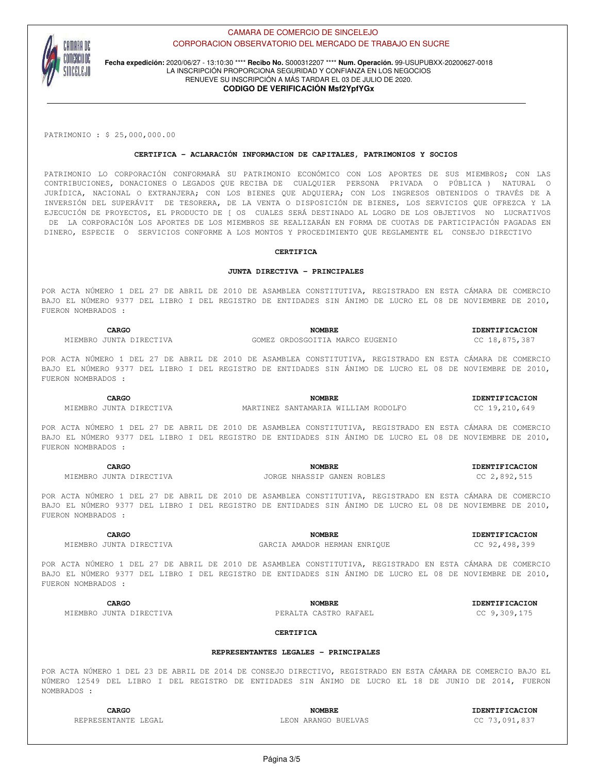

**Fecha expedición:** 2020/06/27 - 13:10:30 \*\*\*\* **Recibo No.** S000312207 \*\*\*\* **Num. Operación.** 99-USUPUBXX-20200627-0018 LA INSCRIPCIÓN PROPORCIONA SEGURIDAD Y CONFIANZA EN LOS NEGOCIOS RENUEVE SU INSCRIPCIÓN A MÁS TARDAR EL 03 DE JULIO DE 2020. **CODIGO DE VERIFICACIÓN Msf2YpfYGx**

PATRIMONIO : \$ 25,000,000.00

# **CERTIFICA - ACLARACIÓN INFORMACION DE CAPITALES, PATRIMONIOS Y SOCIOS**

PATRIMONIO LO CORPORACIÓN CONFORMARÁ SU PATRIMONIO ECONÓMICO CON LOS APORTES DE SUS MIEMBROS; CON LAS CONTRIBUCIONES, DONACIONES O LEGADOS QUE RECIBA DE CUALQUIER PERSONA PRIVADA O PÚBLICA ) NATURAL O JURÍDICA, NACIONAL O EXTRANJERA; CON LOS BIENES QUE ADQUIERA; CON LOS INGRESOS OBTENIDOS O TRAVÉS DE A INVERSIÓN DEL SUPERÁVIT DE TESORERA, DE LA VENTA O DISPOSICIÓN DE BIENES, LOS SERVICIOS QUE OFREZCA Y LA EJECUCIÓN DE PROYECTOS, EL PRODUCTO DE [ OS CUALES SERÁ DESTINADO AL LOGRO DE LOS OBJETIVOS NO LUCRATIVOS DE LA CORPORACIÓN LOS APORTES DE LOS MIEMBROS SE REALIZARÁN EN FORMA DE CUOTAS DE PARTICIPACIÓN PAGADAS EN DINERO, ESPECIE O SERVICIOS CONFORME A LOS MONTOS Y PROCEDIMIENTO QUE REGLAMENTE EL CONSEJO DIRECTIVO

## **CERTIFICA**

## **JUNTA DIRECTIVA - PRINCIPALES**

POR ACTA NÚMERO 1 DEL 27 DE ABRIL DE 2010 DE ASAMBLEA CONSTITUTIVA, REGISTRADO EN ESTA CÁMARA DE COMERCIO BAJO EL NÚMERO 9377 DEL LIBRO I DEL REGISTRO DE ENTIDADES SIN ÁNIMO DE LUCRO EL 08 DE NOVIEMBRE DE 2010, FUERON NOMBRADOS :

**CARGO NOMBRE IDENTIFICACION** MIEMBRO JUNTA DIRECTIVA GOMEZ ORDOSGOITIA MARCO EUGENIO CC 18,875,387

POR ACTA NÚMERO 1 DEL 27 DE ABRIL DE 2010 DE ASAMBLEA CONSTITUTIVA, REGISTRADO EN ESTA CÁMARA DE COMERCIO BAJO EL NÚMERO 9377 DEL LIBRO I DEL REGISTRO DE ENTIDADES SIN ÁNIMO DE LUCRO EL 08 DE NOVIEMBRE DE 2010, FUERON NOMBRADOS :

MIEMBRO JUNTA DIRECTIVA MARTINEZ SANTAMARIA WILLIAM RODOLFO CC 19,210,649

**CARGO NOMBRE IDENTIFICACION**

POR ACTA NÚMERO 1 DEL 27 DE ABRIL DE 2010 DE ASAMBLEA CONSTITUTIVA, REGISTRADO EN ESTA CÁMARA DE COMERCIO BAJO EL NÚMERO 9377 DEL LIBRO I DEL REGISTRO DE ENTIDADES SIN ÁNIMO DE LUCRO EL 08 DE NOVIEMBRE DE 2010, FUERON NOMBRADOS :

**CARGO NOMBRE IDENTIFICACION** MIEMBRO JUNTA DIRECTIVA JORGE NHASSIP GANEN ROBLES CC 2,892,515

POR ACTA NÚMERO 1 DEL 27 DE ABRIL DE 2010 DE ASAMBLEA CONSTITUTIVA, REGISTRADO EN ESTA CÁMARA DE COMERCIO BAJO EL NÚMERO 9377 DEL LIBRO I DEL REGISTRO DE ENTIDADES SIN ÁNIMO DE LUCRO EL 08 DE NOVIEMBRE DE 2010, FUERON NOMBRADOS :

MIEMBRO JUNTA DIRECTIVA GARCIA AMADOR HERMAN ENRIQUE CC 92,498,399

**CARGO NOMBRE IDENTIFICACION**

POR ACTA NÚMERO 1 DEL 27 DE ABRIL DE 2010 DE ASAMBLEA CONSTITUTIVA, REGISTRADO EN ESTA CÁMARA DE COMERCIO BAJO EL NÚMERO 9377 DEL LIBRO I DEL REGISTRO DE ENTIDADES SIN ÁNIMO DE LUCRO EL 08 DE NOVIEMBRE DE 2010, FUERON NOMBRADOS :

MIEMBRO JUNTA DIRECTIVA PERALTA CASTRO RAFAEL CC 9,309,175

**CARGO NOMBRE IDENTIFICACION**

# **CERTIFICA**

# **REPRESENTANTES LEGALES - PRINCIPALES**

POR ACTA NÚMERO 1 DEL 23 DE ABRIL DE 2014 DE CONSEJO DIRECTIVO, REGISTRADO EN ESTA CÁMARA DE COMERCIO BAJO EL NÚMERO 12549 DEL LIBRO I DEL REGISTRO DE ENTIDADES SIN ÁNIMO DE LUCRO EL 18 DE JUNIO DE 2014, FUERON NOMBRADOS :

**CARGO NOMBRE IDENTIFICACION** REPRESENTANTE LEGAL **LEON ARANGO BUELVAS** CC 73,091,837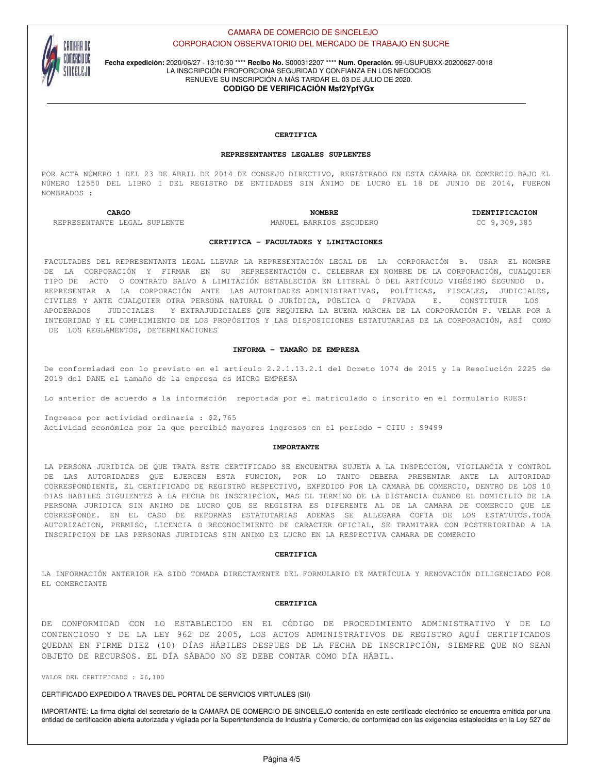

**Fecha expedición:** 2020/06/27 - 13:10:30 \*\*\*\* **Recibo No.** S000312207 \*\*\*\* **Num. Operación.** 99-USUPUBXX-20200627-0018 LA INSCRIPCIÓN PROPORCIONA SEGURIDAD Y CONFIANZA EN LOS NEGOCIOS RENUEVE SU INSCRIPCIÓN A MÁS TARDAR EL 03 DE JULIO DE 2020.

# **CODIGO DE VERIFICACIÓN Msf2YpfYGx**

## **CERTIFICA**

#### **REPRESENTANTES LEGALES SUPLENTES**

POR ACTA NÚMERO 1 DEL 23 DE ABRIL DE 2014 DE CONSEJO DIRECTIVO, REGISTRADO EN ESTA CÁMARA DE COMERCIO BAJO EL NÚMERO 12550 DEL LIBRO I DEL REGISTRO DE ENTIDADES SIN ÁNIMO DE LUCRO EL 18 DE JUNIO DE 2014, FUERON NOMBRADOS :

REPRESENTANTE LEGAL SUPLENTE MANUEL BARRIOS ESCUDERO CC 9,309,385

**CARGO NOMBRE IDENTIFICACION**

#### **CERTIFICA - FACULTADES Y LIMITACIONES**

FACULTADES DEL REPRESENTANTE LEGAL LLEVAR LA REPRESENTACIÓN LEGAL DE LA CORPORACIÓN B. USAR EL NOMBRE DE LA CORPORACIÓN Y FIRMAR EN SU REPRESENTACIÓN C. CELEBRAR EN NOMBRE DE LA CORPORACIÓN, CUALQUIER TIPO DE ACTO O CONTRATO SALVO A LIMITACIÓN ESTABLECIDA EN LITERAL O DEL ARTÍCULO VIGÉSIMO SEGUNDO D. REPRESENTAR A LA CORPORACIÓN ANTE LAS AUTORIDADES ADMINISTRATIVAS, POLÍTICAS, FISCALES, JUDICIALES, CIVILES Y ANTE CUALQUIER OTRA PERSONA NATURAL O JURÍDICA, PÚBLICA O PRIVADA E. CONSTITUIR LOS APODERADOS JUDICIALES Y EXTRAJUDICIALES QUE REQUIERA LA BUENA MARCHA DE LA CORPORACIÓN F. VELAR POR A INTEGRIDAD Y EL CUMPLIMIENTO DE LOS PROPÓSITOS Y LAS DISPOSICIONES ESTATUTARIAS DE LA CORPORACIÓN, ASÍ COMO DE LOS REGLAMENTOS, DETERMINACIONES

#### **INFORMA - TAMAÑO DE EMPRESA**

De conformiadad con lo previsto en el artículo 2.2.1.13.2.1 del Dcreto 1074 de 2015 y la Resolución 2225 de 2019 del DANE el tamaño de la empresa es MICRO EMPRESA

Lo anterior de acuerdo a la información reportada por el matriculado o inscrito en el formulario RUES:

Ingresos por actividad ordinaria : \$2,765 Actividad económica por la que percibió mayores ingresos en el periodo - CIIU : S9499

#### **IMPORTANTE**

LA PERSONA JURIDICA DE QUE TRATA ESTE CERTIFICADO SE ENCUENTRA SUJETA A LA INSPECCION, VIGILANCIA Y CONTROL DE LAS AUTORIDADES QUE EJERCEN ESTA FUNCION, POR LO TANTO DEBERA PRESENTAR ANTE LA AUTORIDAD CORRESPONDIENTE, EL CERTIFICADO DE REGISTRO RESPECTIVO, EXPEDIDO POR LA CAMARA DE COMERCIO, DENTRO DE LOS 10 DIAS HABILES SIGUIENTES A LA FECHA DE INSCRIPCION, MAS EL TERMINO DE LA DISTANCIA CUANDO EL DOMICILIO DE LA PERSONA JURIDICA SIN ANIMO DE LUCRO QUE SE REGISTRA ES DIFERENTE AL DE LA CAMARA DE COMERCIO QUE LE CORRESPONDE. EN EL CASO DE REFORMAS ESTATUTARIAS ADEMAS SE ALLEGARA COPIA DE LOS ESTATUTOS.TODA AUTORIZACION, PERMISO, LICENCIA O RECONOCIMIENTO DE CARACTER OFICIAL, SE TRAMITARA CON POSTERIORIDAD A LA INSCRIPCION DE LAS PERSONAS JURIDICAS SIN ANIMO DE LUCRO EN LA RESPECTIVA CAMARA DE COMERCIO

#### **CERTIFICA**

LA INFORMACIÓN ANTERIOR HA SIDO TOMADA DIRECTAMENTE DEL FORMULARIO DE MATRÍCULA Y RENOVACIÓN DILIGENCIADO POR EL COMERCIANTE

#### **CERTIFICA**

DE CONFORMIDAD CON LO ESTABLECIDO EN EL CÓDIGO DE PROCEDIMIENTO ADMINISTRATIVO Y DE LO CONTENCIOSO Y DE LA LEY 962 DE 2005, LOS ACTOS ADMINISTRATIVOS DE REGISTRO AQUÍ CERTIFICADOS QUEDAN EN FIRME DIEZ (10) DÍAS HÁBILES DESPUES DE LA FECHA DE INSCRIPCIÓN, SIEMPRE QUE NO SEAN OBJETO DE RECURSOS. EL DÍA SÁBADO NO SE DEBE CONTAR COMO DÍA HÁBIL.

VALOR DEL CERTIFICADO : \$6,100

CERTIFICADO EXPEDIDO A TRAVES DEL PORTAL DE SERVICIOS VIRTUALES (SII)

IMPORTANTE: La firma digital del secretario de la CAMARA DE COMERCIO DE SINCELEJO contenida en este certificado electrónico se encuentra emitida por una entidad de certificación abierta autorizada y vigilada por la Superintendencia de Industria y Comercio, de conformidad con las exigencias establecidas en la Ley 527 de